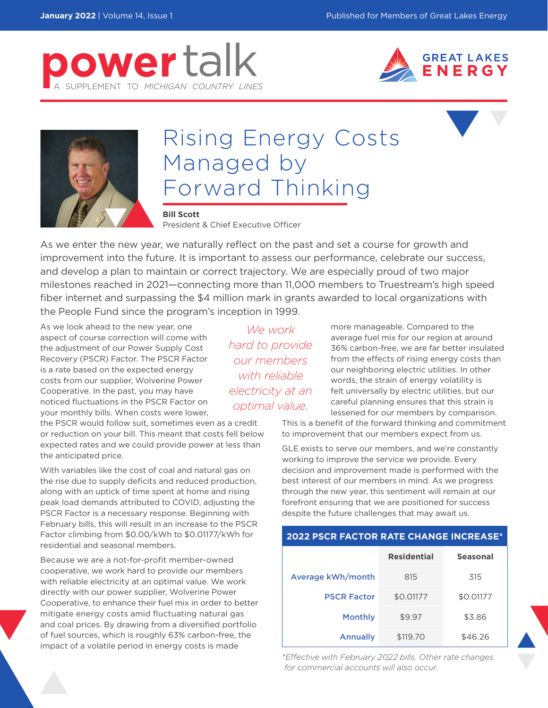





## Rising Energy Costs Managed by Forward Thinking

**Bill Scott** President & Chief Executive Officer

As we enter the new year, we naturally reflect on the past and set a course for growth and improvement into the future. It is important to assess our performance, celebrate our success, and develop a plan to maintain or correct trajectory. We are especially proud of two major milestones reached in 2021—connecting more than 11,000 members to Truestream's high speed fiber internet and surpassing the \$4 million mark in grants awarded to local organizations with the People Fund since the program's inception in 1999.

As we look ahead to the new year, one aspect of course correction will come with the adjustment of our Power Supply Cost Recovery (PSCR) Factor. The PSCR Factor is a rate based on the expected energy costs from our supplier, Wolverine Power Cooperative. In the past, you may have noticed fluctuations in the PSCR Factor on your monthly bills. When costs were lower,

*We work our members with reliable optimal value.*

more manageable. Compared to the average fuel mix for our region at around 36% carbon-free, we are far better insulated from the effects of rising energy costs than our neighboring electric utilities. In other words, the strain of energy volatility is felt universally by electric utilities, but our careful planning ensures that this strain is lessened for our members by comparison.

This is a benefit of the forward thinking and commitment to improvement that our members expect from us.

GLE exists to serve our members, and we're constantly working to improve the service we provide. Every decision and improvement made is performed with the best interest of our members in mind. As we progress through the new year, this sentiment will remain at our forefront ensuring that we are positioned for success despite the future challenges that may await us.

| <b>2022 PSCR FACTOR RATE CHANGE INCREASE*</b> |                    |                 |
|-----------------------------------------------|--------------------|-----------------|
|                                               | <b>Residential</b> | <b>Seasonal</b> |
| Average kWh/month                             | 815                | 315             |
| <b>PSCR Factor</b>                            | \$0.01177          | \$0.01177       |
| <b>Monthly</b>                                | \$9.97             | \$3.86          |
| <b>Annually</b>                               | \$119.70           | \$46.26         |

*\*Effective with February 2022 bills. Other rate changes for commercial accounts will also occur.* 

*hard to provide electricity at an* 

the PSCR would follow suit, sometimes even as a credit or reduction on your bill. This meant that costs fell below expected rates and we could provide power at less than the anticipated price.

With variables like the cost of coal and natural gas on the rise due to supply deficits and reduced production, along with an uptick of time spent at home and rising peak load demands attributed to COVID, adjusting the PSCR Factor is a necessary response. Beginning with February bills, this will result in an increase to the PSCR Factor climbing from \$0.00/kWh to \$0.01177/kWh for residential and seasonal members.

Because we are a not-for-profit member-owned cooperative, we work hard to provide our members with reliable electricity at an optimal value. We work directly with our power supplier, Wolverine Power Cooperative, to enhance their fuel mix in order to better mitigate energy costs amid fluctuating natural gas and coal prices. By drawing from a diversified portfolio of fuel sources, which is roughly 63% carbon-free, the impact of a volatile period in energy costs is made